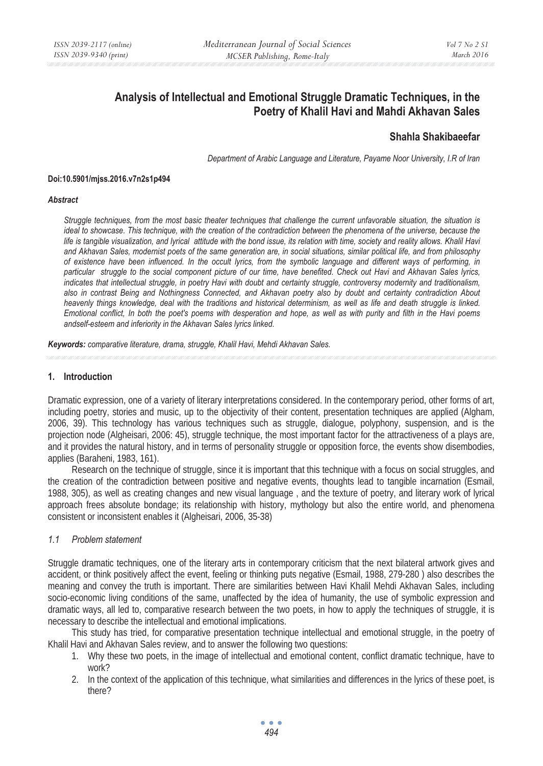# **Analysis of Intellectual and Emotional Struggle Dramatic Techniques, in the Poetry of Khalil Havi and Mahdi Akhavan Sales**

# **Shahla Shakibaeefar**

*Department of Arabic Language and Literature, Payame Noor University, I.R of Iran* 

#### **Doi:10.5901/mjss.2016.v7n2s1p494**

#### *Abstract*

*Struggle techniques, from the most basic theater techniques that challenge the current unfavorable situation, the situation is ideal to showcase. This technique, with the creation of the contradiction between the phenomena of the universe, because the life is tangible visualization, and lyrical attitude with the bond issue, its relation with time, society and reality allows. Khalil Havi and Akhavan Sales, modernist poets of the same generation are, in social situations, similar political life, and from philosophy of existence have been influenced. In the occult lyrics, from the symbolic language and different ways of performing, in particular struggle to the social component picture of our time, have benefited. Check out Havi and Akhavan Sales lyrics, indicates that intellectual struggle, in poetry Havi with doubt and certainty struggle, controversy modernity and traditionalism, also in contrast Being and Nothingness Connected, and Akhavan poetry also by doubt and certainty contradiction About heavenly things knowledge, deal with the traditions and historical determinism, as well as life and death struggle is linked. Emotional conflict, In both the poet's poems with desperation and hope, as well as with purity and filth in the Havi poems andself-esteem and inferiority in the Akhavan Sales lyrics linked.* 

*Keywords: comparative literature, drama, struggle, Khalil Havi, Mehdi Akhavan Sales.*

### **1. Introduction**

Dramatic expression, one of a variety of literary interpretations considered. In the contemporary period, other forms of art, including poetry, stories and music, up to the objectivity of their content, presentation techniques are applied (Algham, 2006, 39). This technology has various techniques such as struggle, dialogue, polyphony, suspension, and is the projection node (Algheisari, 2006: 45), struggle technique, the most important factor for the attractiveness of a plays are, and it provides the natural history, and in terms of personality struggle or opposition force, the events show disembodies, applies (Baraheni, 1983, 161).

Research on the technique of struggle, since it is important that this technique with a focus on social struggles, and the creation of the contradiction between positive and negative events, thoughts lead to tangible incarnation (Esmail, 1988, 305), as well as creating changes and new visual language , and the texture of poetry, and literary work of lyrical approach frees absolute bondage; its relationship with history, mythology but also the entire world, and phenomena consistent or inconsistent enables it (Algheisari, 2006, 35-38)

# *1.1 Problem statement*

Struggle dramatic techniques, one of the literary arts in contemporary criticism that the next bilateral artwork gives and accident, or think positively affect the event, feeling or thinking puts negative (Esmail, 1988, 279-280 ) also describes the meaning and convey the truth is important. There are similarities between Havi Khalil Mehdi Akhavan Sales, including socio-economic living conditions of the same, unaffected by the idea of humanity, the use of symbolic expression and dramatic ways, all led to, comparative research between the two poets, in how to apply the techniques of struggle, it is necessary to describe the intellectual and emotional implications.

This study has tried, for comparative presentation technique intellectual and emotional struggle, in the poetry of Khalil Havi and Akhavan Sales review, and to answer the following two questions:

- 1. Why these two poets, in the image of intellectual and emotional content, conflict dramatic technique, have to work?
- 2. In the context of the application of this technique, what similarities and differences in the lyrics of these poet, is there?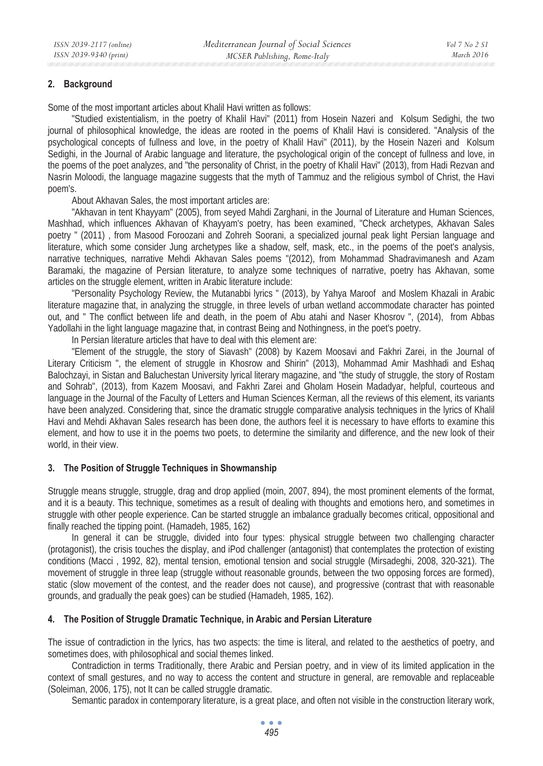## **2. Background**

Some of the most important articles about Khalil Havi written as follows:

"Studied existentialism, in the poetry of Khalil Havi" (2011) from Hosein Nazeri and Kolsum Sedighi, the two journal of philosophical knowledge, the ideas are rooted in the poems of Khalil Havi is considered. "Analysis of the psychological concepts of fullness and love, in the poetry of Khalil Havi" (2011), by the Hosein Nazeri and Kolsum Sedighi, in the Journal of Arabic language and literature, the psychological origin of the concept of fullness and love, in the poems of the poet analyzes, and "the personality of Christ, in the poetry of Khalil Havi" (2013), from Hadi Rezvan and Nasrin Moloodi, the language magazine suggests that the myth of Tammuz and the religious symbol of Christ, the Havi poem's.

About Akhavan Sales, the most important articles are:

"Akhavan in tent Khayyam" (2005), from seyed Mahdi Zarghani, in the Journal of Literature and Human Sciences, Mashhad, which influences Akhavan of Khayyam's poetry, has been examined, "Check archetypes, Akhavan Sales poetry " (2011) , from Masood Foroozani and Zohreh Soorani, a specialized journal peak light Persian language and literature, which some consider Jung archetypes like a shadow, self, mask, etc., in the poems of the poet's analysis, narrative techniques, narrative Mehdi Akhavan Sales poems "(2012), from Mohammad Shadravimanesh and Azam Baramaki, the magazine of Persian literature, to analyze some techniques of narrative, poetry has Akhavan, some articles on the struggle element, written in Arabic literature include:

"Personality Psychology Review, the Mutanabbi lyrics " (2013), by Yahya Maroof and Moslem Khazali in Arabic literature magazine that, in analyzing the struggle, in three levels of urban wetland accommodate character has pointed out, and " The conflict between life and death, in the poem of Abu atahi and Naser Khosrov ", (2014), from Abbas Yadollahi in the light language magazine that, in contrast Being and Nothingness, in the poet's poetry.

In Persian literature articles that have to deal with this element are:

"Element of the struggle, the story of Siavash" (2008) by Kazem Moosavi and Fakhri Zarei, in the Journal of Literary Criticism ", the element of struggle in Khosrow and Shirin" (2013), Mohammad Amir Mashhadi and Eshaq Balochzayi, in Sistan and Baluchestan University lyrical literary magazine, and "the study of struggle, the story of Rostam and Sohrab", (2013), from Kazem Moosavi, and Fakhri Zarei and Gholam Hosein Madadyar, helpful, courteous and language in the Journal of the Faculty of Letters and Human Sciences Kerman, all the reviews of this element, its variants have been analyzed. Considering that, since the dramatic struggle comparative analysis techniques in the lyrics of Khalil Havi and Mehdi Akhavan Sales research has been done, the authors feel it is necessary to have efforts to examine this element, and how to use it in the poems two poets, to determine the similarity and difference, and the new look of their world, in their view.

# **3. The Position of Struggle Techniques in Showmanship**

Struggle means struggle, struggle, drag and drop applied (moin, 2007, 894), the most prominent elements of the format, and it is a beauty. This technique, sometimes as a result of dealing with thoughts and emotions hero, and sometimes in struggle with other people experience. Can be started struggle an imbalance gradually becomes critical, oppositional and finally reached the tipping point. (Hamadeh, 1985, 162)

In general it can be struggle, divided into four types: physical struggle between two challenging character (protagonist), the crisis touches the display, and iPod challenger (antagonist) that contemplates the protection of existing conditions (Macci , 1992, 82), mental tension, emotional tension and social struggle (Mirsadeghi, 2008, 320-321). The movement of struggle in three leap (struggle without reasonable grounds, between the two opposing forces are formed), static (slow movement of the contest, and the reader does not cause), and progressive (contrast that with reasonable grounds, and gradually the peak goes) can be studied (Hamadeh, 1985, 162).

# **4. The Position of Struggle Dramatic Technique, in Arabic and Persian Literature**

The issue of contradiction in the lyrics, has two aspects: the time is literal, and related to the aesthetics of poetry, and sometimes does, with philosophical and social themes linked.

Contradiction in terms Traditionally, there Arabic and Persian poetry, and in view of its limited application in the context of small gestures, and no way to access the content and structure in general, are removable and replaceable (Soleiman, 2006, 175), not It can be called struggle dramatic.

Semantic paradox in contemporary literature, is a great place, and often not visible in the construction literary work,

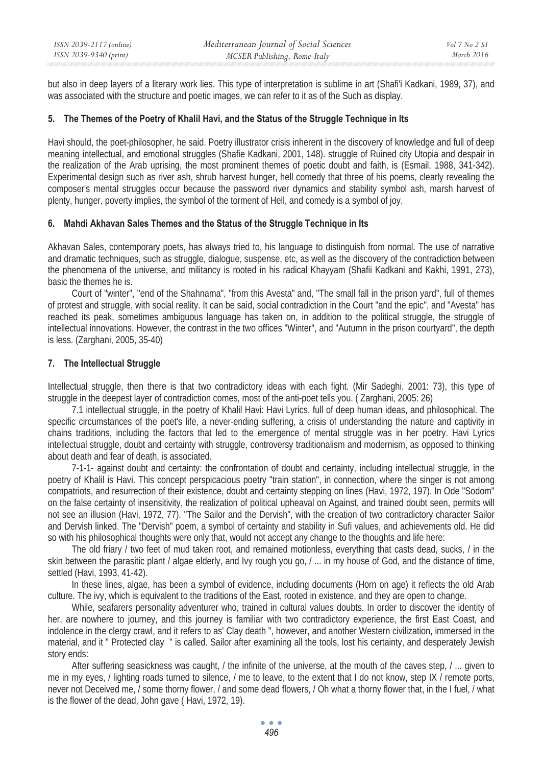but also in deep layers of a literary work lies. This type of interpretation is sublime in art (Shafi'i Kadkani, 1989, 37), and was associated with the structure and poetic images, we can refer to it as of the Such as display.

# **5. The Themes of the Poetry of Khalil Havi, and the Status of the Struggle Technique in Its**

Havi should, the poet-philosopher, he said. Poetry illustrator crisis inherent in the discovery of knowledge and full of deep meaning intellectual, and emotional struggles (Shafie Kadkani, 2001, 148). struggle of Ruined city Utopia and despair in the realization of the Arab uprising, the most prominent themes of poetic doubt and faith, is (Esmail, 1988, 341-342). Experimental design such as river ash, shrub harvest hunger, hell comedy that three of his poems, clearly revealing the composer's mental struggles occur because the password river dynamics and stability symbol ash, marsh harvest of plenty, hunger, poverty implies, the symbol of the torment of Hell, and comedy is a symbol of joy.

## **6. Mahdi Akhavan Sales Themes and the Status of the Struggle Technique in Its**

Akhavan Sales, contemporary poets, has always tried to, his language to distinguish from normal. The use of narrative and dramatic techniques, such as struggle, dialogue, suspense, etc, as well as the discovery of the contradiction between the phenomena of the universe, and militancy is rooted in his radical Khayyam (Shafii Kadkani and Kakhi, 1991, 273), basic the themes he is.

Court of "winter", "end of the Shahnama", "from this Avesta" and, "The small fall in the prison yard", full of themes of protest and struggle, with social reality. It can be said, social contradiction in the Court "and the epic", and "Avesta" has reached its peak, sometimes ambiguous language has taken on, in addition to the political struggle, the struggle of intellectual innovations. However, the contrast in the two offices "Winter", and "Autumn in the prison courtyard", the depth is less. (Zarghani, 2005, 35-40)

# **7. The Intellectual Struggle**

Intellectual struggle, then there is that two contradictory ideas with each fight. (Mir Sadeghi, 2001: 73), this type of struggle in the deepest layer of contradiction comes, most of the anti-poet tells you. ( Zarghani, 2005: 26)

7.1 intellectual struggle, in the poetry of Khalil Havi: Havi Lyrics, full of deep human ideas, and philosophical. The specific circumstances of the poet's life, a never-ending suffering, a crisis of understanding the nature and captivity in chains traditions, including the factors that led to the emergence of mental struggle was in her poetry. Havi Lyrics intellectual struggle, doubt and certainty with struggle, controversy traditionalism and modernism, as opposed to thinking about death and fear of death, is associated.

7-1-1- against doubt and certainty: the confrontation of doubt and certainty, including intellectual struggle, in the poetry of Khalil is Havi. This concept perspicacious poetry "train station", in connection, where the singer is not among compatriots, and resurrection of their existence, doubt and certainty stepping on lines (Havi, 1972, 197). In Ode "Sodom" on the false certainty of insensitivity, the realization of political upheaval on Against, and trained doubt seen, permits will not see an illusion (Havi, 1972, 77). "The Sailor and the Dervish", with the creation of two contradictory character Sailor and Dervish linked. The "Dervish" poem, a symbol of certainty and stability in Sufi values, and achievements old. He did so with his philosophical thoughts were only that, would not accept any change to the thoughts and life here:

The old friary / two feet of mud taken root, and remained motionless, everything that casts dead, sucks, / in the skin between the parasitic plant / algae elderly, and Ivy rough you go, / ... in my house of God, and the distance of time, settled (Havi, 1993, 41-42).

In these lines, algae, has been a symbol of evidence, including documents (Horn on age) it reflects the old Arab culture. The ivy, which is equivalent to the traditions of the East, rooted in existence, and they are open to change.

While, seafarers personality adventurer who, trained in cultural values doubts. In order to discover the identity of her, are nowhere to journey, and this journey is familiar with two contradictory experience, the first East Coast, and indolence in the clergy crawl, and it refers to as' Clay death ", however, and another Western civilization, immersed in the material, and it " Protected clay " is called. Sailor after examining all the tools, lost his certainty, and desperately Jewish story ends:

After suffering seasickness was caught, / the infinite of the universe, at the mouth of the caves step, / ... given to me in my eyes, / lighting roads turned to silence, / me to leave, to the extent that I do not know, step IX / remote ports, never not Deceived me, / some thorny flower, / and some dead flowers, / Oh what a thorny flower that, in the I fuel, / what is the flower of the dead, John gave ( Havi, 1972, 19).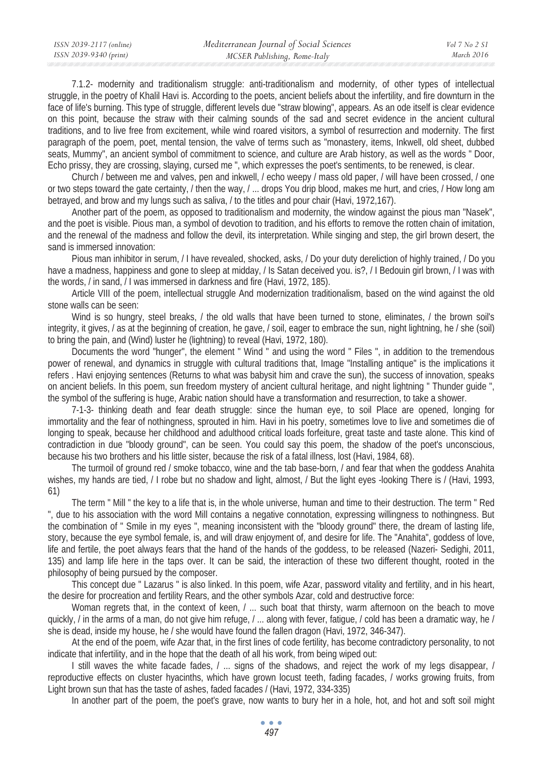7.1.2- modernity and traditionalism struggle: anti-traditionalism and modernity, of other types of intellectual struggle, in the poetry of Khalil Havi is. According to the poets, ancient beliefs about the infertility, and fire downturn in the face of life's burning. This type of struggle, different levels due "straw blowing", appears. As an ode itself is clear evidence on this point, because the straw with their calming sounds of the sad and secret evidence in the ancient cultural traditions, and to live free from excitement, while wind roared visitors, a symbol of resurrection and modernity. The first paragraph of the poem, poet, mental tension, the valve of terms such as "monastery, items, Inkwell, old sheet, dubbed seats, Mummy", an ancient symbol of commitment to science, and culture are Arab history, as well as the words " Door, Echo prissy, they are crossing, slaying, cursed me ", which expresses the poet's sentiments, to be renewed, is clear.

Church / between me and valves, pen and inkwell, / echo weepy / mass old paper, / will have been crossed, / one or two steps toward the gate certainty, / then the way, / ... drops You drip blood, makes me hurt, and cries, / How long am betrayed, and brow and my lungs such as saliva, / to the titles and pour chair (Havi, 1972,167).

Another part of the poem, as opposed to traditionalism and modernity, the window against the pious man "Nasek", and the poet is visible. Pious man, a symbol of devotion to tradition, and his efforts to remove the rotten chain of imitation, and the renewal of the madness and follow the devil, its interpretation. While singing and step, the girl brown desert, the sand is immersed innovation:

Pious man inhibitor in serum, / I have revealed, shocked, asks, / Do your duty dereliction of highly trained, / Do you have a madness, happiness and gone to sleep at midday, / Is Satan deceived you. is?, / I Bedouin girl brown, / I was with the words, / in sand, / I was immersed in darkness and fire (Havi, 1972, 185).

Article VIII of the poem, intellectual struggle And modernization traditionalism, based on the wind against the old stone walls can be seen:

Wind is so hungry, steel breaks, / the old walls that have been turned to stone, eliminates, / the brown soil's integrity, it gives, / as at the beginning of creation, he gave, / soil, eager to embrace the sun, night lightning, he / she (soil) to bring the pain, and (Wind) luster he (lightning) to reveal (Havi, 1972, 180).

Documents the word "hunger", the element " Wind " and using the word " Files ", in addition to the tremendous power of renewal, and dynamics in struggle with cultural traditions that, Image "Installing antique" is the implications it refers . Havi enjoying sentences (Returns to what was babysit him and crave the sun), the success of innovation, speaks on ancient beliefs. In this poem, sun freedom mystery of ancient cultural heritage, and night lightning " Thunder guide ", the symbol of the suffering is huge, Arabic nation should have a transformation and resurrection, to take a shower.

7-1-3- thinking death and fear death struggle: since the human eye, to soil Place are opened, longing for immortality and the fear of nothingness, sprouted in him. Havi in his poetry, sometimes love to live and sometimes die of longing to speak, because her childhood and adulthood critical loads forfeiture, great taste and taste alone. This kind of contradiction in due "bloody ground", can be seen. You could say this poem, the shadow of the poet's unconscious, because his two brothers and his little sister, because the risk of a fatal illness, lost (Havi, 1984, 68).

The turmoil of ground red / smoke tobacco, wine and the tab base-born, / and fear that when the goddess Anahita wishes, my hands are tied, / I robe but no shadow and light, almost, / But the light eyes -looking There is / (Havi, 1993, 61)

The term " Mill " the key to a life that is, in the whole universe, human and time to their destruction. The term " Red ", due to his association with the word Mill contains a negative connotation, expressing willingness to nothingness. But the combination of " Smile in my eyes ", meaning inconsistent with the "bloody ground" there, the dream of lasting life, story, because the eye symbol female, is, and will draw enjoyment of, and desire for life. The "Anahita", goddess of love, life and fertile, the poet always fears that the hand of the hands of the goddess, to be released (Nazeri- Sedighi, 2011, 135) and lamp life here in the taps over. It can be said, the interaction of these two different thought, rooted in the philosophy of being pursued by the composer.

This concept due " Lazarus " is also linked. In this poem, wife Azar, password vitality and fertility, and in his heart, the desire for procreation and fertility Rears, and the other symbols Azar, cold and destructive force:

Woman regrets that, in the context of keen,  $/$  ... such boat that thirsty, warm afternoon on the beach to move quickly, / in the arms of a man, do not give him refuge, / ... along with fever, fatigue, / cold has been a dramatic way, he / she is dead, inside my house, he / she would have found the fallen dragon (Havi, 1972, 346-347).

At the end of the poem, wife Azar that, in the first lines of code fertility, has become contradictory personality, to not indicate that infertility, and in the hope that the death of all his work, from being wiped out:

I still waves the white facade fades, / ... signs of the shadows, and reject the work of my legs disappear, / reproductive effects on cluster hyacinths, which have grown locust teeth, fading facades, / works growing fruits, from Light brown sun that has the taste of ashes, faded facades / (Havi, 1972, 334-335)

In another part of the poem, the poet's grave, now wants to bury her in a hole, hot, and hot and soft soil might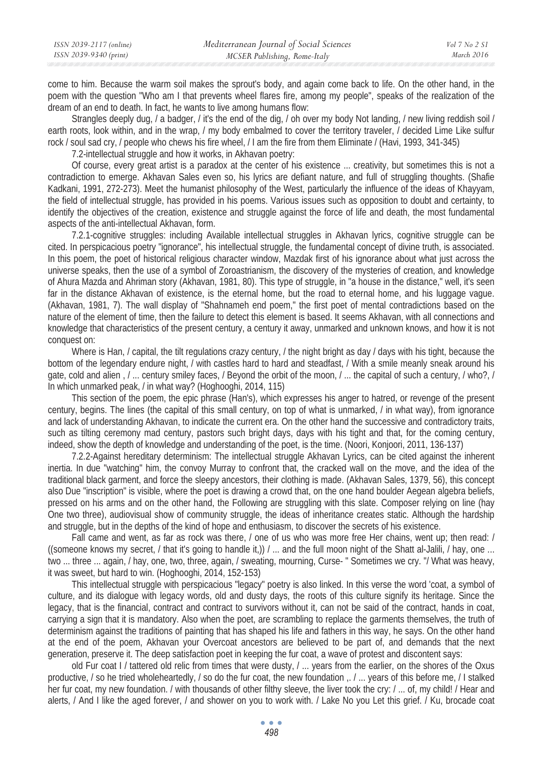| ISSN 2039-2117 (online) | Mediterranean Journal of Social Sciences | Vol 7 No 2 SI |
|-------------------------|------------------------------------------|---------------|
| ISSN 2039-9340 (print)  | MCSER Publishing, Rome-Italy             | March 2016    |

come to him. Because the warm soil makes the sprout's body, and again come back to life. On the other hand, in the poem with the question "Who am I that prevents wheel flares fire, among my people", speaks of the realization of the dream of an end to death. In fact, he wants to live among humans flow:

Strangles deeply dug, / a badger, / it's the end of the dig, / oh over my body Not landing, / new living reddish soil / earth roots, look within, and in the wrap, / my body embalmed to cover the territory traveler, / decided Lime Like sulfur rock / soul sad cry, / people who chews his fire wheel, / I am the fire from them Eliminate / (Havi, 1993, 341-345)

7.2-intellectual struggle and how it works, in Akhavan poetry:

Of course, every great artist is a paradox at the center of his existence ... creativity, but sometimes this is not a contradiction to emerge. Akhavan Sales even so, his lyrics are defiant nature, and full of struggling thoughts. (Shafie Kadkani, 1991, 272-273). Meet the humanist philosophy of the West, particularly the influence of the ideas of Khayyam, the field of intellectual struggle, has provided in his poems. Various issues such as opposition to doubt and certainty, to identify the objectives of the creation, existence and struggle against the force of life and death, the most fundamental aspects of the anti-intellectual Akhavan, form.

7.2.1-cognitive struggles: including Available intellectual struggles in Akhavan lyrics, cognitive struggle can be cited. In perspicacious poetry "ignorance", his intellectual struggle, the fundamental concept of divine truth, is associated. In this poem, the poet of historical religious character window, Mazdak first of his ignorance about what just across the universe speaks, then the use of a symbol of Zoroastrianism, the discovery of the mysteries of creation, and knowledge of Ahura Mazda and Ahriman story (Akhavan, 1981, 80). This type of struggle, in "a house in the distance," well, it's seen far in the distance Akhavan of existence, is the eternal home, but the road to eternal home, and his luggage vague. (Akhavan, 1981, 7). The wall display of "Shahnameh end poem," the first poet of mental contradictions based on the nature of the element of time, then the failure to detect this element is based. It seems Akhavan, with all connections and knowledge that characteristics of the present century, a century it away, unmarked and unknown knows, and how it is not conquest on:

Where is Han, *I* capital, the tilt regulations crazy century, *I* the night bright as day *I* days with his tight, because the bottom of the legendary endure night, / with castles hard to hard and steadfast, / With a smile meanly sneak around his gate, cold and alien , / ... century smiley faces, / Beyond the orbit of the moon, / ... the capital of such a century, / who?, / In which unmarked peak, / in what way? (Hoghooghi, 2014, 115)

This section of the poem, the epic phrase (Han's), which expresses his anger to hatred, or revenge of the present century, begins. The lines (the capital of this small century, on top of what is unmarked, / in what way), from ignorance and lack of understanding Akhavan, to indicate the current era. On the other hand the successive and contradictory traits, such as tilting ceremony mad century, pastors such bright days, days with his tight and that, for the coming century, indeed, show the depth of knowledge and understanding of the poet, is the time. (Noori, Konjoori, 2011, 136-137)

7.2.2-Against hereditary determinism: The intellectual struggle Akhavan Lyrics, can be cited against the inherent inertia. In due "watching" him, the convoy Murray to confront that, the cracked wall on the move, and the idea of the traditional black garment, and force the sleepy ancestors, their clothing is made. (Akhavan Sales, 1379, 56), this concept also Due "inscription" is visible, where the poet is drawing a crowd that, on the one hand boulder Aegean algebra beliefs, pressed on his arms and on the other hand, the Following are struggling with this slate. Composer relying on line (hay One two three), audiovisual show of community struggle, the ideas of inheritance creates static. Although the hardship and struggle, but in the depths of the kind of hope and enthusiasm, to discover the secrets of his existence.

Fall came and went, as far as rock was there, / one of us who was more free Her chains, went up; then read: / ((someone knows my secret, / that it's going to handle it,))  $/$  ... and the full moon night of the Shatt al-Jalili,  $/$  hay, one ... two ... three ... again, / hay, one, two, three, again, / sweating, mourning, Curse- " Sometimes we cry. "/ What was heavy, it was sweet, but hard to win. (Hoghooghi, 2014, 152-153)

This intellectual struggle with perspicacious "legacy" poetry is also linked. In this verse the word 'coat, a symbol of culture, and its dialogue with legacy words, old and dusty days, the roots of this culture signify its heritage. Since the legacy, that is the financial, contract and contract to survivors without it, can not be said of the contract, hands in coat, carrying a sign that it is mandatory. Also when the poet, are scrambling to replace the garments themselves, the truth of determinism against the traditions of painting that has shaped his life and fathers in this way, he says. On the other hand at the end of the poem, Akhavan your Overcoat ancestors are believed to be part of, and demands that the next generation, preserve it. The deep satisfaction poet in keeping the fur coat, a wave of protest and discontent says:

old Fur coat I / tattered old relic from times that were dusty, / ... years from the earlier, on the shores of the Oxus productive, / so he tried wholeheartedly, / so do the fur coat, the new foundation ,. / ... years of this before me, / I stalked her fur coat, my new foundation. / with thousands of other filthy sleeve, the liver took the cry: / ... of, my child! / Hear and alerts, / And I like the aged forever, / and shower on you to work with. / Lake No you Let this grief. / Ku, brocade coat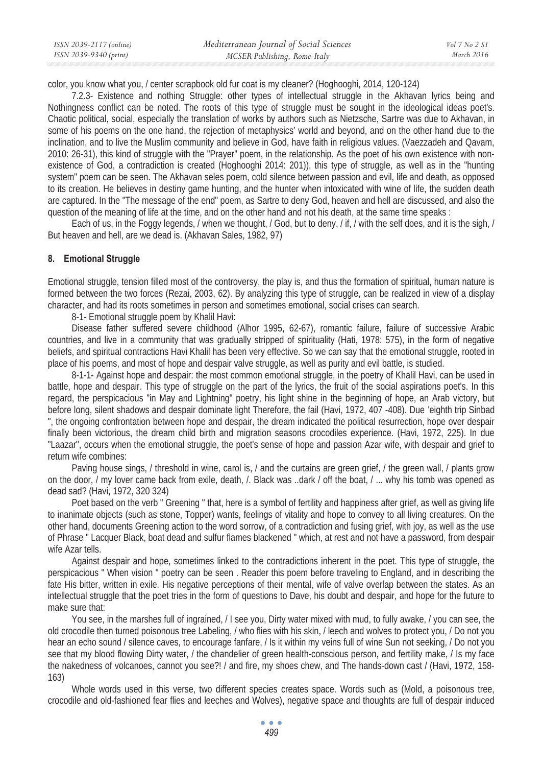color, you know what you, / center scrapbook old fur coat is my cleaner? (Hoghooghi, 2014, 120-124)

7.2.3- Existence and nothing Struggle: other types of intellectual struggle in the Akhavan lyrics being and Nothingness conflict can be noted. The roots of this type of struggle must be sought in the ideological ideas poet's. Chaotic political, social, especially the translation of works by authors such as Nietzsche, Sartre was due to Akhavan, in some of his poems on the one hand, the rejection of metaphysics' world and beyond, and on the other hand due to the inclination, and to live the Muslim community and believe in God, have faith in religious values. (Vaezzadeh and Qavam, 2010: 26-31), this kind of struggle with the "Prayer" poem, in the relationship. As the poet of his own existence with nonexistence of God, a contradiction is created (Hoghooghi 2014: 201)), this type of struggle, as well as in the "hunting system" poem can be seen. The Akhavan seles poem, cold silence between passion and evil, life and death, as opposed to its creation. He believes in destiny game hunting, and the hunter when intoxicated with wine of life, the sudden death are captured. In the "The message of the end" poem, as Sartre to deny God, heaven and hell are discussed, and also the question of the meaning of life at the time, and on the other hand and not his death, at the same time speaks :

Each of us, in the Foggy legends, / when we thought, / God, but to deny, / if, / with the self does, and it is the sigh, / But heaven and hell, are we dead is. (Akhavan Sales, 1982, 97)

# **8. Emotional Struggle**

Emotional struggle, tension filled most of the controversy, the play is, and thus the formation of spiritual, human nature is formed between the two forces (Rezai, 2003, 62). By analyzing this type of struggle, can be realized in view of a display character, and had its roots sometimes in person and sometimes emotional, social crises can search.

8-1- Emotional struggle poem by Khalil Havi:

Disease father suffered severe childhood (Alhor 1995, 62-67), romantic failure, failure of successive Arabic countries, and live in a community that was gradually stripped of spirituality (Hati, 1978: 575), in the form of negative beliefs, and spiritual contractions Havi Khalil has been very effective. So we can say that the emotional struggle, rooted in place of his poems, and most of hope and despair valve struggle, as well as purity and evil battle, is studied.

8-1-1- Against hope and despair: the most common emotional struggle, in the poetry of Khalil Havi, can be used in battle, hope and despair. This type of struggle on the part of the lyrics, the fruit of the social aspirations poet's. In this regard, the perspicacious "in May and Lightning" poetry, his light shine in the beginning of hope, an Arab victory, but before long, silent shadows and despair dominate light Therefore, the fail (Havi, 1972, 407 -408). Due 'eighth trip Sinbad ", the ongoing confrontation between hope and despair, the dream indicated the political resurrection, hope over despair finally been victorious, the dream child birth and migration seasons crocodiles experience. (Havi, 1972, 225). In due "Laazar", occurs when the emotional struggle, the poet's sense of hope and passion Azar wife, with despair and grief to return wife combines:

Paving house sings, / threshold in wine, carol is, / and the curtains are green grief, / the green wall, / plants grow on the door, / my lover came back from exile, death, /. Black was ..dark / off the boat, / ... why his tomb was opened as dead sad? (Havi, 1972, 320 324)

Poet based on the verb " Greening " that, here is a symbol of fertility and happiness after grief, as well as giving life to inanimate objects (such as stone, Topper) wants, feelings of vitality and hope to convey to all living creatures. On the other hand, documents Greening action to the word sorrow, of a contradiction and fusing grief, with joy, as well as the use of Phrase " Lacquer Black, boat dead and sulfur flames blackened " which, at rest and not have a password, from despair wife Azar tells.

Against despair and hope, sometimes linked to the contradictions inherent in the poet. This type of struggle, the perspicacious " When vision " poetry can be seen . Reader this poem before traveling to England, and in describing the fate His bitter, written in exile. His negative perceptions of their mental, wife of valve overlap between the states. As an intellectual struggle that the poet tries in the form of questions to Dave, his doubt and despair, and hope for the future to make sure that:

You see, in the marshes full of ingrained, / I see you, Dirty water mixed with mud, to fully awake, / you can see, the old crocodile then turned poisonous tree Labeling, / who flies with his skin, / leech and wolves to protect you, / Do not you hear an echo sound / silence caves, to encourage fanfare, / Is it within my veins full of wine Sun not seeking, / Do not you see that my blood flowing Dirty water, / the chandelier of green health-conscious person, and fertility make, / Is my face the nakedness of volcanoes, cannot you see?! / and fire, my shoes chew, and The hands-down cast / (Havi, 1972, 158- 163)

Whole words used in this verse, two different species creates space. Words such as (Mold, a poisonous tree, crocodile and old-fashioned fear flies and leeches and Wolves), negative space and thoughts are full of despair induced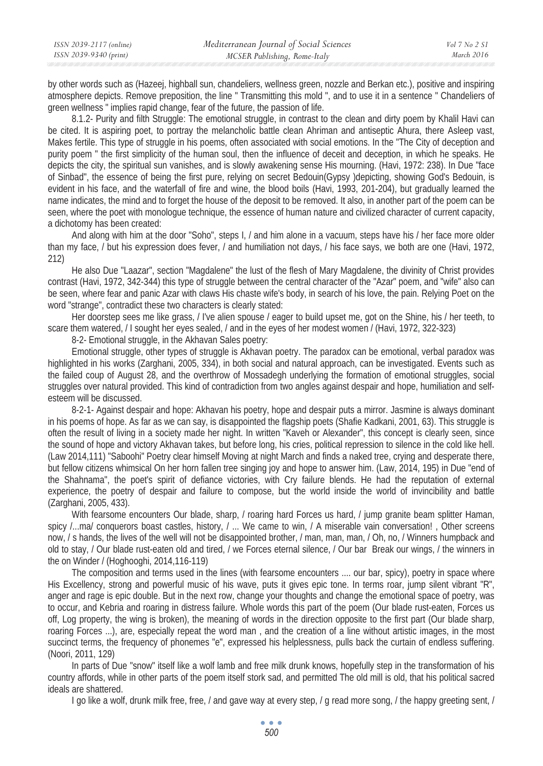| ISSN 2039-2117 (online) | Mediterranean Journal of Social Sciences | Vol 7 No 2 SI |
|-------------------------|------------------------------------------|---------------|
| ISSN 2039-9340 (print)  | MCSER Publishing, Rome-Italy             | March 2016    |

by other words such as (Hazeej, highball sun, chandeliers, wellness green, nozzle and Berkan etc.), positive and inspiring atmosphere depicts. Remove preposition, the line " Transmitting this mold ", and to use it in a sentence " Chandeliers of green wellness " implies rapid change, fear of the future, the passion of life.

8.1.2- Purity and filth Struggle: The emotional struggle, in contrast to the clean and dirty poem by Khalil Havi can be cited. It is aspiring poet, to portray the melancholic battle clean Ahriman and antiseptic Ahura, there Asleep vast, Makes fertile. This type of struggle in his poems, often associated with social emotions. In the "The City of deception and purity poem " the first simplicity of the human soul, then the influence of deceit and deception, in which he speaks. He depicts the city, the spiritual sun vanishes, and is slowly awakening sense His mourning. (Havi, 1972: 238). In Due "face of Sinbad", the essence of being the first pure, relying on secret Bedouin(Gypsy )depicting, showing God's Bedouin, is evident in his face, and the waterfall of fire and wine, the blood boils (Havi, 1993, 201-204), but gradually learned the name indicates, the mind and to forget the house of the deposit to be removed. It also, in another part of the poem can be seen, where the poet with monologue technique, the essence of human nature and civilized character of current capacity, a dichotomy has been created:

And along with him at the door "Soho", steps I, / and him alone in a vacuum, steps have his / her face more older than my face, / but his expression does fever, / and humiliation not days, / his face says, we both are one (Havi, 1972, 212)

He also Due "Laazar", section "Magdalene" the lust of the flesh of Mary Magdalene, the divinity of Christ provides contrast (Havi, 1972, 342-344) this type of struggle between the central character of the "Azar" poem, and "wife" also can be seen, where fear and panic Azar with claws His chaste wife's body, in search of his love, the pain. Relying Poet on the word "strange", contradict these two characters is clearly stated:

Her doorstep sees me like grass, / I've alien spouse / eager to build upset me, got on the Shine, his / her teeth, to scare them watered, / I sought her eyes sealed, / and in the eyes of her modest women / (Havi, 1972, 322-323)

8-2- Emotional struggle, in the Akhavan Sales poetry:

Emotional struggle, other types of struggle is Akhavan poetry. The paradox can be emotional, verbal paradox was highlighted in his works (Zarghani, 2005, 334), in both social and natural approach, can be investigated. Events such as the failed coup of August 28, and the overthrow of Mossadegh underlying the formation of emotional struggles, social struggles over natural provided. This kind of contradiction from two angles against despair and hope, humiliation and selfesteem will be discussed.

8-2-1- Against despair and hope: Akhavan his poetry, hope and despair puts a mirror. Jasmine is always dominant in his poems of hope. As far as we can say, is disappointed the flagship poets (Shafie Kadkani, 2001, 63). This struggle is often the result of living in a society made her night. In written "Kaveh or Alexander", this concept is clearly seen, since the sound of hope and victory Akhavan takes, but before long, his cries, political repression to silence in the cold like hell. (Law 2014,111) "Saboohi" Poetry clear himself Moving at night March and finds a naked tree, crying and desperate there, but fellow citizens whimsical On her horn fallen tree singing joy and hope to answer him. (Law, 2014, 195) in Due "end of the Shahnama", the poet's spirit of defiance victories, with Cry failure blends. He had the reputation of external experience, the poetry of despair and failure to compose, but the world inside the world of invincibility and battle (Zarghani, 2005, 433).

With fearsome encounters Our blade, sharp, / roaring hard Forces us hard, / jump granite beam splitter Haman, spicy /...ma/ conquerors boast castles, history, / ... We came to win, / A miserable vain conversation!, Other screens now, / s hands, the lives of the well will not be disappointed brother, / man, man, man, / Oh, no, / Winners humpback and old to stay, / Our blade rust-eaten old and tired, / we Forces eternal silence, / Our bar Break our wings, / the winners in the on Winder / (Hoghooghi, 2014,116-119)

The composition and terms used in the lines (with fearsome encounters .... our bar, spicy), poetry in space where His Excellency, strong and powerful music of his wave, puts it gives epic tone. In terms roar, jump silent vibrant "R", anger and rage is epic double. But in the next row, change your thoughts and change the emotional space of poetry, was to occur, and Kebria and roaring in distress failure. Whole words this part of the poem (Our blade rust-eaten, Forces us off, Log property, the wing is broken), the meaning of words in the direction opposite to the first part (Our blade sharp, roaring Forces ...), are, especially repeat the word man , and the creation of a line without artistic images, in the most succinct terms, the frequency of phonemes "e", expressed his helplessness, pulls back the curtain of endless suffering. (Noori, 2011, 129)

In parts of Due "snow" itself like a wolf lamb and free milk drunk knows, hopefully step in the transformation of his country affords, while in other parts of the poem itself stork sad, and permitted The old mill is old, that his political sacred ideals are shattered.

I go like a wolf, drunk milk free, free, / and gave way at every step, / g read more song, / the happy greeting sent, /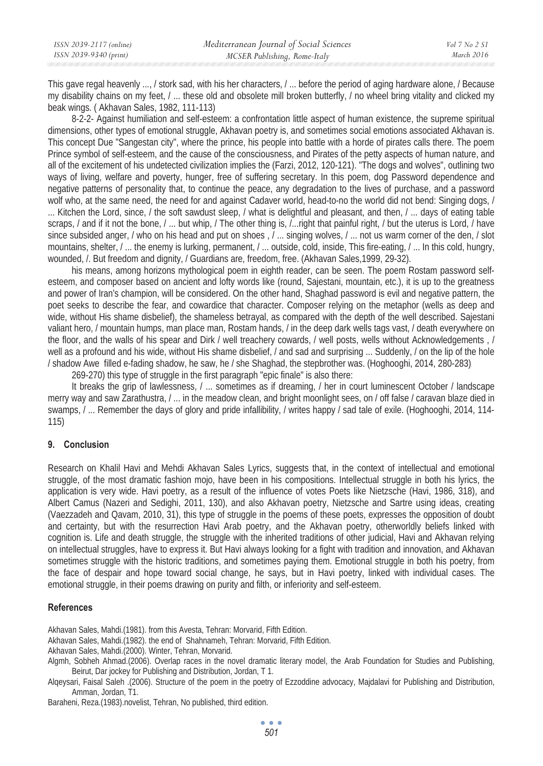| ISSN 2039-2117 (online) | Mediterranean Journal of Social Sciences | Vol 7 No 2 S1 |
|-------------------------|------------------------------------------|---------------|
| ISSN 2039-9340 (print)  | MCSER Publishing, Rome-Italy             | March 2016    |

This gave regal heavenly ..., / stork sad, with his her characters, / ... before the period of aging hardware alone, / Because my disability chains on my feet, / ... these old and obsolete mill broken butterfly, / no wheel bring vitality and clicked my beak wings. ( Akhavan Sales, 1982, 111-113)

8-2-2- Against humiliation and self-esteem: a confrontation little aspect of human existence, the supreme spiritual dimensions, other types of emotional struggle, Akhavan poetry is, and sometimes social emotions associated Akhavan is. This concept Due "Sangestan city", where the prince, his people into battle with a horde of pirates calls there. The poem Prince symbol of self-esteem, and the cause of the consciousness, and Pirates of the petty aspects of human nature, and all of the excitement of his undetected civilization implies the (Farzi, 2012, 120-121). "The dogs and wolves", outlining two ways of living, welfare and poverty, hunger, free of suffering secretary. In this poem, dog Password dependence and negative patterns of personality that, to continue the peace, any degradation to the lives of purchase, and a password wolf who, at the same need, the need for and against Cadaver world, head-to-no the world did not bend: Singing dogs, / ... Kitchen the Lord, since, / the soft sawdust sleep, / what is delightful and pleasant, and then, / ... days of eating table scraps, / and if it not the bone, / ... but whip, / The other thing is, /...right that painful right, / but the uterus is Lord, / have since subsided anger, / who on his head and put on shoes , / ... singing wolves, / ... not us warm corner of the den, / slot mountains, shelter, / ... the enemy is lurking, permanent, / ... outside, cold, inside, This fire-eating, / ... In this cold, hungry, wounded, *l.* But freedom and dignity, *l* Guardians are, freedom, free. (Akhavan Sales, 1999, 29-32).

his means, among horizons mythological poem in eighth reader, can be seen. The poem Rostam password selfesteem, and composer based on ancient and lofty words like (round, Sajestani, mountain, etc.), it is up to the greatness and power of Iran's champion, will be considered. On the other hand, Shaghad password is evil and negative pattern, the poet seeks to describe the fear, and cowardice that character. Composer relying on the metaphor (wells as deep and wide, without His shame disbelief), the shameless betrayal, as compared with the depth of the well described. Sajestani valiant hero, / mountain humps, man place man, Rostam hands, / in the deep dark wells tags vast, / death everywhere on the floor, and the walls of his spear and Dirk / well treachery cowards, / well posts, wells without Acknowledgements , / well as a profound and his wide, without His shame disbelief, *I* and sad and surprising ... Suddenly, *I* on the lip of the hole / shadow Awe filled e-fading shadow, he saw, he / she Shaghad, the stepbrother was. (Hoghooghi, 2014, 280-283)

269-270) this type of struggle in the first paragraph "epic finale" is also there:

It breaks the grip of lawlessness, / ... sometimes as if dreaming, / her in court luminescent October / landscape merry way and saw Zarathustra, / ... in the meadow clean, and bright moonlight sees, on / off false / caravan blaze died in swamps, / ... Remember the days of glory and pride infallibility, / writes happy / sad tale of exile. (Hoghooghi, 2014, 114- 115)

# **9. Conclusion**

Research on Khalil Havi and Mehdi Akhavan Sales Lyrics, suggests that, in the context of intellectual and emotional struggle, of the most dramatic fashion mojo, have been in his compositions. Intellectual struggle in both his lyrics, the application is very wide. Havi poetry, as a result of the influence of votes Poets like Nietzsche (Havi, 1986, 318), and Albert Camus (Nazeri and Sedighi, 2011, 130), and also Akhavan poetry, Nietzsche and Sartre using ideas, creating (Vaezzadeh and Qavam, 2010, 31), this type of struggle in the poems of these poets, expresses the opposition of doubt and certainty, but with the resurrection Havi Arab poetry, and the Akhavan poetry, otherworldly beliefs linked with cognition is. Life and death struggle, the struggle with the inherited traditions of other judicial, Havi and Akhavan relying on intellectual struggles, have to express it. But Havi always looking for a fight with tradition and innovation, and Akhavan sometimes struggle with the historic traditions, and sometimes paying them. Emotional struggle in both his poetry, from the face of despair and hope toward social change, he says, but in Havi poetry, linked with individual cases. The emotional struggle, in their poems drawing on purity and filth, or inferiority and self-esteem.

## **References**

Akhavan Sales, Mahdi.(1981). from this Avesta, Tehran: Morvarid, Fifth Edition.

- Akhavan Sales, Mahdi.(1982). the end of Shahnameh, Tehran: Morvarid, Fifth Edition.
- Akhavan Sales, Mahdi.(2000). Winter, Tehran, Morvarid.

Algmh, Sobheh Ahmad.(2006). Overlap races in the novel dramatic literary model, the Arab Foundation for Studies and Publishing, Beirut, Dar jockey for Publishing and Distribution, Jordan, T 1.

Alqeysari, Faisal Saleh .(2006). Structure of the poem in the poetry of Ezzoddine advocacy, Majdalavi for Publishing and Distribution, Amman, Jordan, T1.

Baraheni, Reza.(1983).novelist, Tehran, No published, third edition.